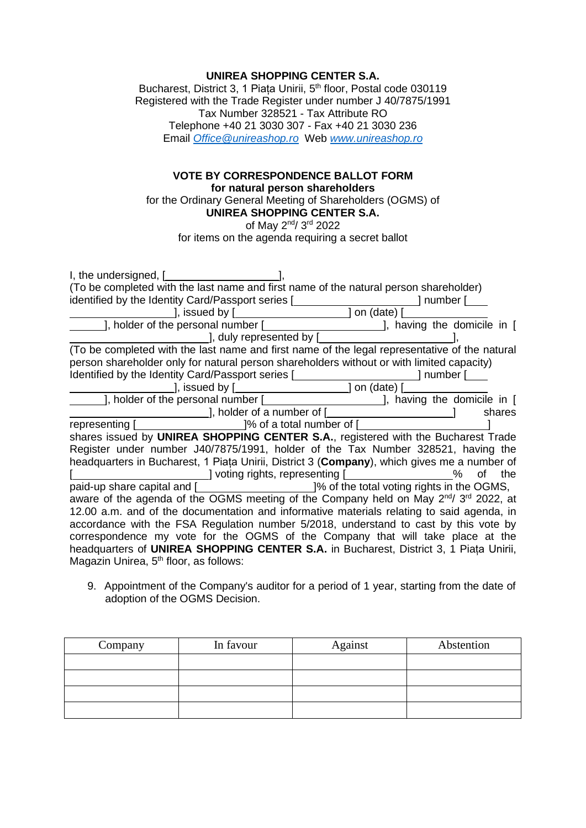## **UNIREA SHOPPING CENTER S.A.**

Bucharest, District 3, 1 Piața Unirii, 5<sup>th</sup> floor, Postal code 030119 Registered with the Trade Register under number J 40/7875/1991 Tax Number 328521 - Tax Attribute RO Telephone +40 21 3030 307 - Fax +40 21 3030 236 Email *[Office@unireashop.ro](mailto:Office@unireashop.ro)* Web *[www.unireashop.ro](http://www.unireashop.ro/)*

## **VOTE BY CORRESPONDENCE BALLOT FORM for natural person shareholders**

for the Ordinary General Meeting of Shareholders (OGMS) of **UNIREA SHOPPING CENTER S.A.**

of May 2<sup>nd</sup>/ 3<sup>rd</sup> 2022

for items on the agenda requiring a secret ballot

| (To be completed with the last name and first name of the natural person shareholder)                                   |
|-------------------------------------------------------------------------------------------------------------------------|
| identified by the Identity Card/Passport series [ <b>wilder</b> content content content content content content content |
| $\frac{1}{2}$ , issued by $\boxed{\phantom{1.55}$ on (date) $\boxed{\phantom{1.55}$                                     |
| ], holder of the personal number [ <i>______________________</i> ], having the domicile in [                            |
| 1, duly represented by [                                                                                                |
| (To be completed with the last name and first name of the legal representative of the natural                           |
| person shareholder only for natural person shareholders without or with limited capacity)                               |
| Identified by the Identity Card/Passport series [ <b>wilder</b> content content content content content content content |
| $\Box$ , issued by $\Box$ and $\Box$ on (date) $\Box$                                                                   |
| ], holder of the personal number [ <i>______________________</i> ], having the domicile in [                            |
| shares                                                                                                                  |
| representing [ <b>will-</b> [Separation]% of a total number of [Will-                                                   |
| shares issued by UNIREA SHOPPING CENTER S.A., registered with the Bucharest Trade                                       |
| Register under number J40/7875/1991, holder of the Tax Number 328521, having the                                        |
| headquarters in Bucharest, 1 Piata Unirii, District 3 (Company), which gives me a number of                             |
| ______________] voting rights, representing [___________________%<br>of the                                             |
| paid-up share capital and [ <b>witch in the UCO</b> of the total voting rights in the OGMS,                             |
| aware of the agenda of the OGMS meeting of the Company held on May $2^{nd}$ 3 <sup>rd</sup> 2022, at                    |
| 12.00 a.m. and of the documentation and informative materials relating to said agenda, in                               |
| accordance with the FSA Regulation number 5/2018, understand to cast by this vote by                                    |
| correspondence my vote for the OGMS of the Company that will take place at the                                          |
| headquarters of UNIREA SHOPPING CENTER S.A. in Bucharest, District 3, 1 Piata Unirii,                                   |
| Magazin Unirea, 5 <sup>th</sup> floor, as follows:                                                                      |

9. Appointment of the Company's auditor for a period of 1 year, starting from the date of adoption of the OGMS Decision.

| Company | In favour | Against | Abstention |
|---------|-----------|---------|------------|
|         |           |         |            |
|         |           |         |            |
|         |           |         |            |
|         |           |         |            |